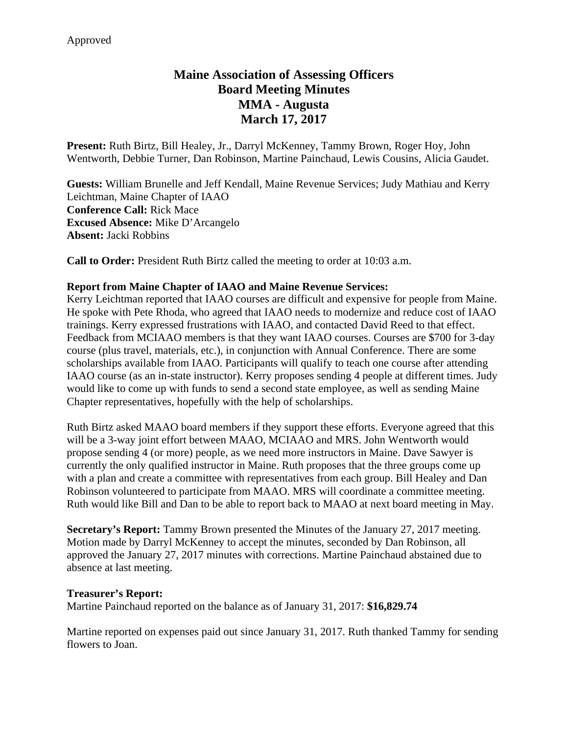# **Maine Association of Assessing Officers Board Meeting Minutes MMA - Augusta March 17, 2017**

**Present:** Ruth Birtz, Bill Healey, Jr., Darryl McKenney, Tammy Brown, Roger Hoy, John Wentworth, Debbie Turner, Dan Robinson, Martine Painchaud, Lewis Cousins, Alicia Gaudet.

**Guests:** William Brunelle and Jeff Kendall, Maine Revenue Services; Judy Mathiau and Kerry Leichtman, Maine Chapter of IAAO **Conference Call:** Rick Mace **Excused Absence:** Mike D'Arcangelo **Absent:** Jacki Robbins

**Call to Order:** President Ruth Birtz called the meeting to order at 10:03 a.m.

## **Report from Maine Chapter of IAAO and Maine Revenue Services:**

Kerry Leichtman reported that IAAO courses are difficult and expensive for people from Maine. He spoke with Pete Rhoda, who agreed that IAAO needs to modernize and reduce cost of IAAO trainings. Kerry expressed frustrations with IAAO, and contacted David Reed to that effect. Feedback from MCIAAO members is that they want IAAO courses. Courses are \$700 for 3-day course (plus travel, materials, etc.), in conjunction with Annual Conference. There are some scholarships available from IAAO. Participants will qualify to teach one course after attending IAAO course (as an in-state instructor). Kerry proposes sending 4 people at different times. Judy would like to come up with funds to send a second state employee, as well as sending Maine Chapter representatives, hopefully with the help of scholarships.

Ruth Birtz asked MAAO board members if they support these efforts. Everyone agreed that this will be a 3-way joint effort between MAAO, MCIAAO and MRS. John Wentworth would propose sending 4 (or more) people, as we need more instructors in Maine. Dave Sawyer is currently the only qualified instructor in Maine. Ruth proposes that the three groups come up with a plan and create a committee with representatives from each group. Bill Healey and Dan Robinson volunteered to participate from MAAO. MRS will coordinate a committee meeting. Ruth would like Bill and Dan to be able to report back to MAAO at next board meeting in May.

**Secretary's Report:** Tammy Brown presented the Minutes of the January 27, 2017 meeting. Motion made by Darryl McKenney to accept the minutes, seconded by Dan Robinson, all approved the January 27, 2017 minutes with corrections. Martine Painchaud abstained due to absence at last meeting.

## **Treasurer's Report:**

Martine Painchaud reported on the balance as of January 31, 2017: **\$16,829.74**

Martine reported on expenses paid out since January 31, 2017. Ruth thanked Tammy for sending flowers to Joan.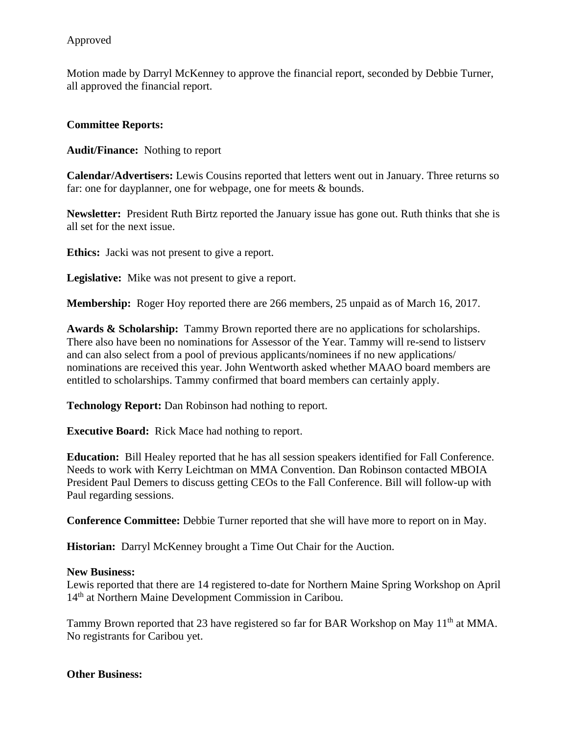# Approved

Motion made by Darryl McKenney to approve the financial report, seconded by Debbie Turner, all approved the financial report.

## **Committee Reports:**

**Audit/Finance:** Nothing to report

**Calendar/Advertisers:** Lewis Cousins reported that letters went out in January. Three returns so far: one for dayplanner, one for webpage, one for meets & bounds.

**Newsletter:** President Ruth Birtz reported the January issue has gone out. Ruth thinks that she is all set for the next issue.

**Ethics:** Jacki was not present to give a report.

**Legislative:** Mike was not present to give a report.

**Membership:** Roger Hoy reported there are 266 members, 25 unpaid as of March 16, 2017.

**Awards & Scholarship:** Tammy Brown reported there are no applications for scholarships. There also have been no nominations for Assessor of the Year. Tammy will re-send to listserv and can also select from a pool of previous applicants/nominees if no new applications/ nominations are received this year. John Wentworth asked whether MAAO board members are entitled to scholarships. Tammy confirmed that board members can certainly apply.

**Technology Report:** Dan Robinson had nothing to report.

**Executive Board:** Rick Mace had nothing to report.

**Education:** Bill Healey reported that he has all session speakers identified for Fall Conference. Needs to work with Kerry Leichtman on MMA Convention. Dan Robinson contacted MBOIA President Paul Demers to discuss getting CEOs to the Fall Conference. Bill will follow-up with Paul regarding sessions.

**Conference Committee:** Debbie Turner reported that she will have more to report on in May.

**Historian:** Darryl McKenney brought a Time Out Chair for the Auction.

## **New Business:**

Lewis reported that there are 14 registered to-date for Northern Maine Spring Workshop on April 14<sup>th</sup> at Northern Maine Development Commission in Caribou.

Tammy Brown reported that 23 have registered so far for BAR Workshop on May 11<sup>th</sup> at MMA. No registrants for Caribou yet.

## **Other Business:**